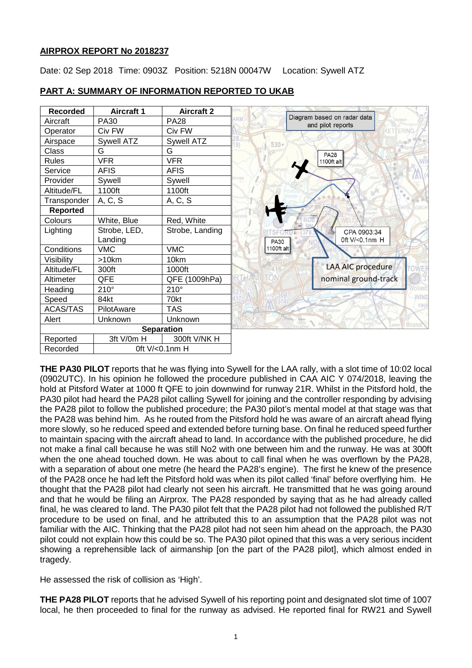# **AIRPROX REPORT No 2018237**

Date: 02 Sep 2018 Time: 0903Z Position: 5218N 00047W Location: Sywell ATZ



# **PART A: SUMMARY OF INFORMATION REPORTED TO UKAB**

**THE PA30 PILOT** reports that he was flying into Sywell for the LAA rally, with a slot time of 10:02 local (0902UTC). In his opinion he followed the procedure published in CAA AIC Y 074/2018, leaving the hold at Pitsford Water at 1000 ft QFE to join downwind for runway 21R. Whilst in the Pitsford hold, the PA30 pilot had heard the PA28 pilot calling Sywell for joining and the controller responding by advising the PA28 pilot to follow the published procedure; the PA30 pilot's mental model at that stage was that the PA28 was behind him. As he routed from the Pitsford hold he was aware of an aircraft ahead flying more slowly, so he reduced speed and extended before turning base. On final he reduced speed further to maintain spacing with the aircraft ahead to land. In accordance with the published procedure, he did not make a final call because he was still No2 with one between him and the runway. He was at 300ft when the one ahead touched down. He was about to call final when he was overflown by the PA28, with a separation of about one metre (he heard the PA28's engine). The first he knew of the presence of the PA28 once he had left the Pitsford hold was when its pilot called 'final' before overflying him. He thought that the PA28 pilot had clearly not seen his aircraft. He transmitted that he was going around and that he would be filing an Airprox. The PA28 responded by saying that as he had already called final, he was cleared to land. The PA30 pilot felt that the PA28 pilot had not followed the published R/T procedure to be used on final, and he attributed this to an assumption that the PA28 pilot was not familiar with the AIC. Thinking that the PA28 pilot had not seen him ahead on the approach, the PA30 pilot could not explain how this could be so. The PA30 pilot opined that this was a very serious incident showing a reprehensible lack of airmanship [on the part of the PA28 pilot], which almost ended in tragedy.

He assessed the risk of collision as 'High'.

**THE PA28 PILOT** reports that he advised Sywell of his reporting point and designated slot time of 1007 local, he then proceeded to final for the runway as advised. He reported final for RW21 and Sywell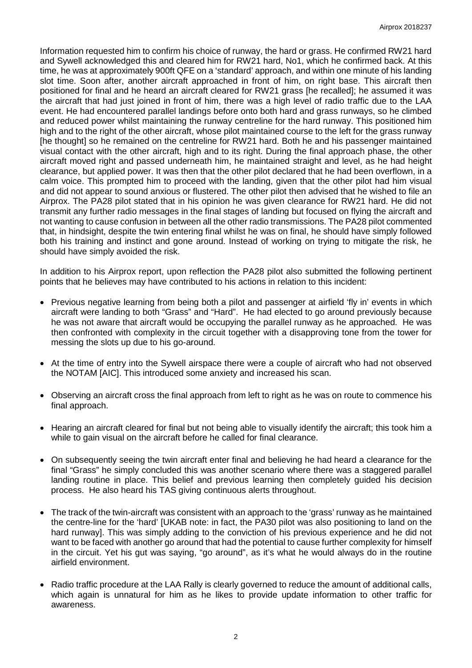Information requested him to confirm his choice of runway, the hard or grass. He confirmed RW21 hard and Sywell acknowledged this and cleared him for RW21 hard, No1, which he confirmed back. At this time, he was at approximately 900ft QFE on a 'standard' approach, and within one minute of his landing slot time. Soon after, another aircraft approached in front of him, on right base. This aircraft then positioned for final and he heard an aircraft cleared for RW21 grass [he recalled]; he assumed it was the aircraft that had just joined in front of him, there was a high level of radio traffic due to the LAA event. He had encountered parallel landings before onto both hard and grass runways, so he climbed and reduced power whilst maintaining the runway centreline for the hard runway. This positioned him high and to the right of the other aircraft, whose pilot maintained course to the left for the grass runway [he thought] so he remained on the centreline for RW21 hard. Both he and his passenger maintained visual contact with the other aircraft, high and to its right. During the final approach phase, the other aircraft moved right and passed underneath him, he maintained straight and level, as he had height clearance, but applied power. It was then that the other pilot declared that he had been overflown, in a calm voice. This prompted him to proceed with the landing, given that the other pilot had him visual and did not appear to sound anxious or flustered. The other pilot then advised that he wished to file an Airprox. The PA28 pilot stated that in his opinion he was given clearance for RW21 hard. He did not transmit any further radio messages in the final stages of landing but focused on flying the aircraft and not wanting to cause confusion in between all the other radio transmissions. The PA28 pilot commented that, in hindsight, despite the twin entering final whilst he was on final, he should have simply followed both his training and instinct and gone around. Instead of working on trying to mitigate the risk, he should have simply avoided the risk.

In addition to his Airprox report, upon reflection the PA28 pilot also submitted the following pertinent points that he believes may have contributed to his actions in relation to this incident:

- Previous negative learning from being both a pilot and passenger at airfield 'fly in' events in which aircraft were landing to both "Grass" and "Hard". He had elected to go around previously because he was not aware that aircraft would be occupying the parallel runway as he approached. He was then confronted with complexity in the circuit together with a disapproving tone from the tower for messing the slots up due to his go-around.
- At the time of entry into the Sywell airspace there were a couple of aircraft who had not observed the NOTAM [AIC]. This introduced some anxiety and increased his scan.
- Observing an aircraft cross the final approach from left to right as he was on route to commence his final approach.
- Hearing an aircraft cleared for final but not being able to visually identify the aircraft; this took him a while to gain visual on the aircraft before he called for final clearance.
- On subsequently seeing the twin aircraft enter final and believing he had heard a clearance for the final "Grass" he simply concluded this was another scenario where there was a staggered parallel landing routine in place. This belief and previous learning then completely guided his decision process. He also heard his TAS giving continuous alerts throughout.
- The track of the twin-aircraft was consistent with an approach to the 'grass' runway as he maintained the centre-line for the 'hard' [UKAB note: in fact, the PA30 pilot was also positioning to land on the hard runway]. This was simply adding to the conviction of his previous experience and he did not want to be faced with another go around that had the potential to cause further complexity for himself in the circuit. Yet his gut was saying, "go around", as it's what he would always do in the routine airfield environment.
- Radio traffic procedure at the LAA Rally is clearly governed to reduce the amount of additional calls, which again is unnatural for him as he likes to provide update information to other traffic for awareness.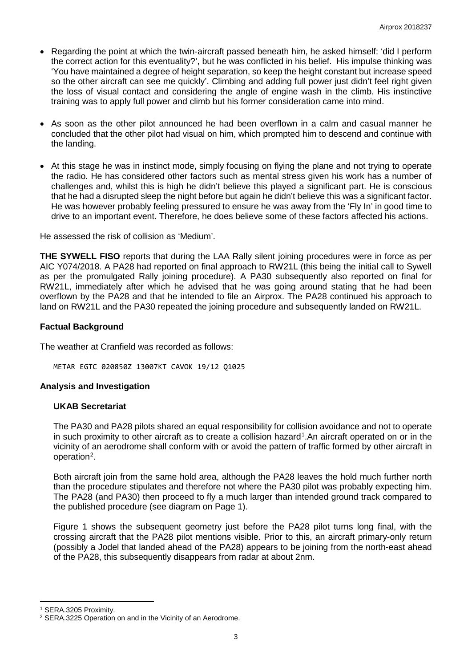- Regarding the point at which the twin-aircraft passed beneath him, he asked himself: 'did I perform the correct action for this eventuality?', but he was conflicted in his belief. His impulse thinking was 'You have maintained a degree of height separation, so keep the height constant but increase speed so the other aircraft can see me quickly'. Climbing and adding full power just didn't feel right given the loss of visual contact and considering the angle of engine wash in the climb. His instinctive training was to apply full power and climb but his former consideration came into mind.
- As soon as the other pilot announced he had been overflown in a calm and casual manner he concluded that the other pilot had visual on him, which prompted him to descend and continue with the landing.
- At this stage he was in instinct mode, simply focusing on flying the plane and not trying to operate the radio. He has considered other factors such as mental stress given his work has a number of challenges and, whilst this is high he didn't believe this played a significant part. He is conscious that he had a disrupted sleep the night before but again he didn't believe this was a significant factor. He was however probably feeling pressured to ensure he was away from the 'Fly In' in good time to drive to an important event. Therefore, he does believe some of these factors affected his actions.

He assessed the risk of collision as 'Medium'.

**THE SYWELL FISO** reports that during the LAA Rally silent joining procedures were in force as per AIC Y074/2018. A PA28 had reported on final approach to RW21L (this being the initial call to Sywell as per the promulgated Rally joining procedure). A PA30 subsequently also reported on final for RW21L, immediately after which he advised that he was going around stating that he had been overflown by the PA28 and that he intended to file an Airprox. The PA28 continued his approach to land on RW21L and the PA30 repeated the joining procedure and subsequently landed on RW21L.

## **Factual Background**

The weather at Cranfield was recorded as follows:

METAR EGTC 020850Z 13007KT CAVOK 19/12 Q1025

### **Analysis and Investigation**

### **UKAB Secretariat**

The PA30 and PA28 pilots shared an equal responsibility for collision avoidance and not to operate in such proximity to other aircraft as to create a collision hazard<sup>[1](#page-2-0)</sup>. An aircraft operated on or in the vicinity of an aerodrome shall conform with or avoid the pattern of traffic formed by other aircraft in operation<sup>[2](#page-2-1)</sup>.

Both aircraft join from the same hold area, although the PA28 leaves the hold much further north than the procedure stipulates and therefore not where the PA30 pilot was probably expecting him. The PA28 (and PA30) then proceed to fly a much larger than intended ground track compared to the published procedure (see diagram on Page 1).

Figure 1 shows the subsequent geometry just before the PA28 pilot turns long final, with the crossing aircraft that the PA28 pilot mentions visible. Prior to this, an aircraft primary-only return (possibly a Jodel that landed ahead of the PA28) appears to be joining from the north-east ahead of the PA28, this subsequently disappears from radar at about 2nm.

l

<span id="page-2-0"></span><sup>1</sup> SERA.3205 Proximity.

<span id="page-2-1"></span><sup>2</sup> SERA.3225 Operation on and in the Vicinity of an Aerodrome.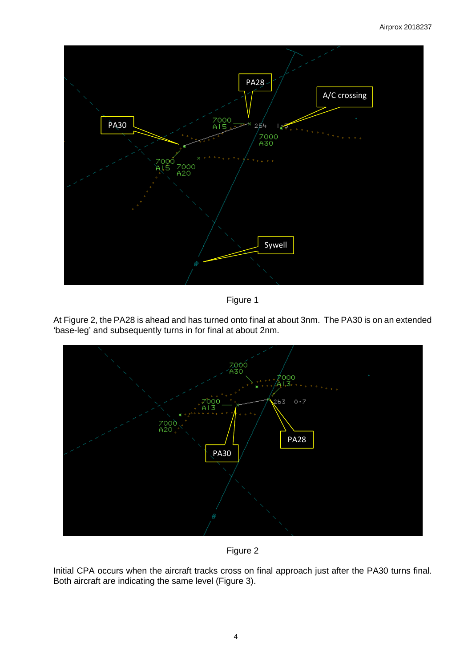

Figure 1

At Figure 2, the PA28 is ahead and has turned onto final at about 3nm. The PA30 is on an extended 'base-leg' and subsequently turns in for final at about 2nm.



Figure 2

Initial CPA occurs when the aircraft tracks cross on final approach just after the PA30 turns final. Both aircraft are indicating the same level (Figure 3).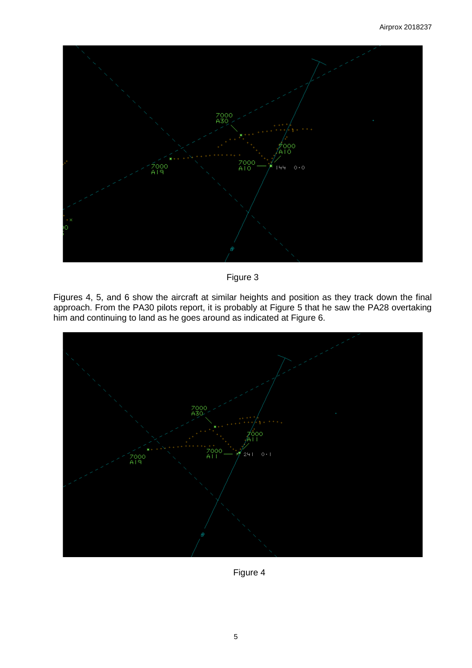

Figure 3

Figures 4, 5, and 6 show the aircraft at similar heights and position as they track down the final approach. From the PA30 pilots report, it is probably at Figure 5 that he saw the PA28 overtaking him and continuing to land as he goes around as indicated at Figure 6.



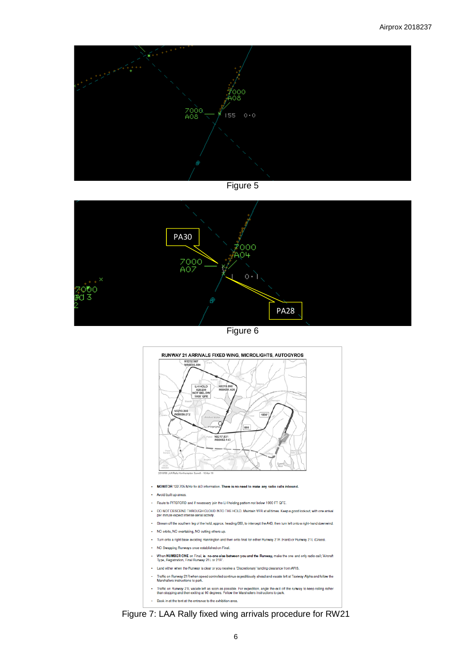



Figure 6



Figure 7: LAA Rally fixed wing arrivals procedure for RW21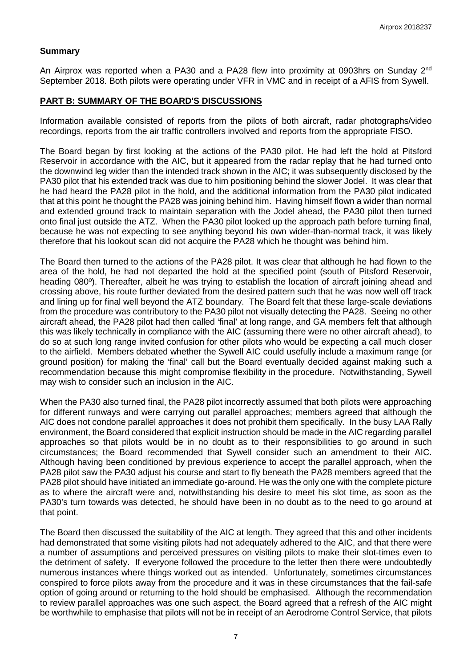### **Summary**

An Airprox was reported when a PA30 and a PA28 flew into proximity at 0903hrs on Sunday 2<sup>nd</sup> September 2018. Both pilots were operating under VFR in VMC and in receipt of a AFIS from Sywell.

### **PART B: SUMMARY OF THE BOARD'S DISCUSSIONS**

Information available consisted of reports from the pilots of both aircraft, radar photographs/video recordings, reports from the air traffic controllers involved and reports from the appropriate FISO.

The Board began by first looking at the actions of the PA30 pilot. He had left the hold at Pitsford Reservoir in accordance with the AIC, but it appeared from the radar replay that he had turned onto the downwind leg wider than the intended track shown in the AIC; it was subsequently disclosed by the PA30 pilot that his extended track was due to him positioning behind the slower Jodel. It was clear that he had heard the PA28 pilot in the hold, and the additional information from the PA30 pilot indicated that at this point he thought the PA28 was joining behind him. Having himself flown a wider than normal and extended ground track to maintain separation with the Jodel ahead, the PA30 pilot then turned onto final just outside the ATZ. When the PA30 pilot looked up the approach path before turning final, because he was not expecting to see anything beyond his own wider-than-normal track, it was likely therefore that his lookout scan did not acquire the PA28 which he thought was behind him.

The Board then turned to the actions of the PA28 pilot. It was clear that although he had flown to the area of the hold, he had not departed the hold at the specified point (south of Pitsford Reservoir, heading 080º). Thereafter, albeit he was trying to establish the location of aircraft joining ahead and crossing above, his route further deviated from the desired pattern such that he was now well off track and lining up for final well beyond the ATZ boundary. The Board felt that these large-scale deviations from the procedure was contributory to the PA30 pilot not visually detecting the PA28. Seeing no other aircraft ahead, the PA28 pilot had then called 'final' at long range, and GA members felt that although this was likely technically in compliance with the AIC (assuming there were no other aircraft ahead), to do so at such long range invited confusion for other pilots who would be expecting a call much closer to the airfield. Members debated whether the Sywell AIC could usefully include a maximum range (or ground position) for making the 'final' call but the Board eventually decided against making such a recommendation because this might compromise flexibility in the procedure. Notwithstanding, Sywell may wish to consider such an inclusion in the AIC.

When the PA30 also turned final, the PA28 pilot incorrectly assumed that both pilots were approaching for different runways and were carrying out parallel approaches; members agreed that although the AIC does not condone parallel approaches it does not prohibit them specifically. In the busy LAA Rally environment, the Board considered that explicit instruction should be made in the AIC regarding parallel approaches so that pilots would be in no doubt as to their responsibilities to go around in such circumstances; the Board recommended that Sywell consider such an amendment to their AIC. Although having been conditioned by previous experience to accept the parallel approach, when the PA28 pilot saw the PA30 adjust his course and start to fly beneath the PA28 members agreed that the PA28 pilot should have initiated an immediate go-around. He was the only one with the complete picture as to where the aircraft were and, notwithstanding his desire to meet his slot time, as soon as the PA30's turn towards was detected, he should have been in no doubt as to the need to go around at that point.

The Board then discussed the suitability of the AIC at length. They agreed that this and other incidents had demonstrated that some visiting pilots had not adequately adhered to the AIC, and that there were a number of assumptions and perceived pressures on visiting pilots to make their slot-times even to the detriment of safety. If everyone followed the procedure to the letter then there were undoubtedly numerous instances where things worked out as intended. Unfortunately, sometimes circumstances conspired to force pilots away from the procedure and it was in these circumstances that the fail-safe option of going around or returning to the hold should be emphasised. Although the recommendation to review parallel approaches was one such aspect, the Board agreed that a refresh of the AIC might be worthwhile to emphasise that pilots will not be in receipt of an Aerodrome Control Service, that pilots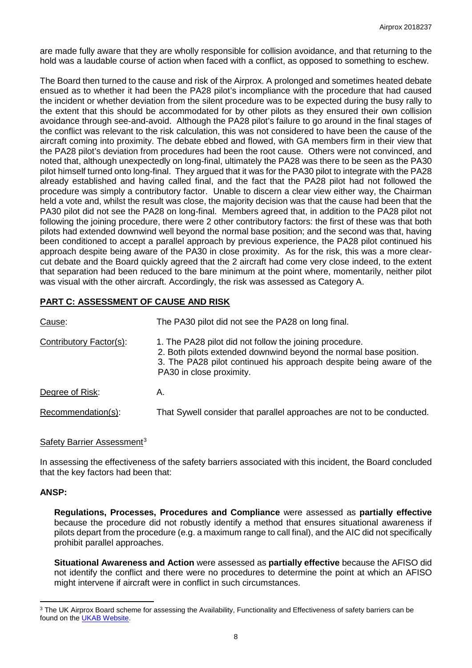are made fully aware that they are wholly responsible for collision avoidance, and that returning to the hold was a laudable course of action when faced with a conflict, as opposed to something to eschew.

The Board then turned to the cause and risk of the Airprox. A prolonged and sometimes heated debate ensued as to whether it had been the PA28 pilot's incompliance with the procedure that had caused the incident or whether deviation from the silent procedure was to be expected during the busy rally to the extent that this should be accommodated for by other pilots as they ensured their own collision avoidance through see-and-avoid. Although the PA28 pilot's failure to go around in the final stages of the conflict was relevant to the risk calculation, this was not considered to have been the cause of the aircraft coming into proximity. The debate ebbed and flowed, with GA members firm in their view that the PA28 pilot's deviation from procedures had been the root cause. Others were not convinced, and noted that, although unexpectedly on long-final, ultimately the PA28 was there to be seen as the PA30 pilot himself turned onto long-final. They argued that it was for the PA30 pilot to integrate with the PA28 already established and having called final, and the fact that the PA28 pilot had not followed the procedure was simply a contributory factor. Unable to discern a clear view either way, the Chairman held a vote and, whilst the result was close, the majority decision was that the cause had been that the PA30 pilot did not see the PA28 on long-final. Members agreed that, in addition to the PA28 pilot not following the joining procedure, there were 2 other contributory factors: the first of these was that both pilots had extended downwind well beyond the normal base position; and the second was that, having been conditioned to accept a parallel approach by previous experience, the PA28 pilot continued his approach despite being aware of the PA30 in close proximity. As for the risk, this was a more clearcut debate and the Board quickly agreed that the 2 aircraft had come very close indeed, to the extent that separation had been reduced to the bare minimum at the point where, momentarily, neither pilot was visual with the other aircraft. Accordingly, the risk was assessed as Category A.

# **PART C: ASSESSMENT OF CAUSE AND RISK**

| Cause:                  | The PA30 pilot did not see the PA28 on long final.                                                                                                                                                                              |
|-------------------------|---------------------------------------------------------------------------------------------------------------------------------------------------------------------------------------------------------------------------------|
| Contributory Factor(s): | 1. The PA28 pilot did not follow the joining procedure.<br>2. Both pilots extended downwind beyond the normal base position.<br>3. The PA28 pilot continued his approach despite being aware of the<br>PA30 in close proximity. |
| Degree of Risk:         | А.                                                                                                                                                                                                                              |
| Recommendation(s):      | That Sywell consider that parallel approaches are not to be conducted.                                                                                                                                                          |

# Safety Barrier Assessment<sup>[3](#page-7-0)</sup>

In assessing the effectiveness of the safety barriers associated with this incident, the Board concluded that the key factors had been that:

### **ANSP:**

**Regulations, Processes, Procedures and Compliance** were assessed as **partially effective** because the procedure did not robustly identify a method that ensures situational awareness if pilots depart from the procedure (e.g. a maximum range to call final), and the AIC did not specifically prohibit parallel approaches.

**Situational Awareness and Action** were assessed as **partially effective** because the AFISO did not identify the conflict and there were no procedures to determine the point at which an AFISO might intervene if aircraft were in conflict in such circumstances.

<span id="page-7-0"></span>l <sup>3</sup> The UK Airprox Board scheme for assessing the Availability, Functionality and Effectiveness of safety barriers can be found on the [UKAB Website.](http://www.airproxboard.org.uk/Learn-more/Airprox-Barrier-Assessment/)